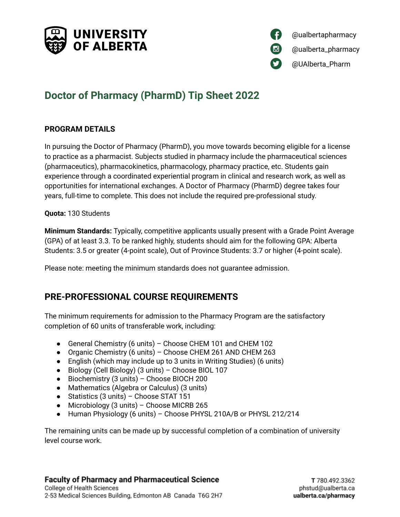



# **Doctor of Pharmacy (PharmD) Tip Sheet 2022**

### **PROGRAM DETAILS**

In pursuing the Doctor of Pharmacy (PharmD), you move towards becoming eligible for a license to practice as a pharmacist. Subjects studied in pharmacy include the pharmaceutical sciences (pharmaceutics), pharmacokinetics, pharmacology, pharmacy practice, etc. Students gain experience through a coordinated experiential program in clinical and research work, as well as opportunities for international exchanges. A Doctor of Pharmacy (PharmD) degree takes four years, full-time to complete. This does not include the required pre-professional study.

### **Quota:** 130 Students

**Minimum Standards:** Typically, competitive applicants usually present with a Grade Point Average (GPA) of at least 3.3. To be ranked highly, students should aim for the following GPA: Alberta Students: 3.5 or greater (4-point scale), Out of Province Students: 3.7 or higher (4-point scale).

Please note: meeting the minimum standards does not guarantee admission.

## **PRE-PROFESSIONAL COURSE REQUIREMENTS**

The minimum requirements for admission to the Pharmacy Program are the satisfactory completion of 60 units of transferable work, including:

- General Chemistry (6 units) Choose CHEM 101 and CHEM 102
- Organic Chemistry (6 units) Choose CHEM 261 AND CHEM 263
- English (which may include up to 3 units in Writing Studies) (6 units)
- Biology (Cell Biology) (3 units) Choose BIOL 107
- Biochemistry (3 units) Choose BIOCH 200
- Mathematics (Algebra or Calculus) (3 units)
- Statistics (3 units) Choose STAT 151
- Microbiology (3 units) Choose MICRB 265
- Human Physiology (6 units) Choose PHYSL 210A/B or PHYSL 212/214

The remaining units can be made up by successful completion of a combination of university level course work.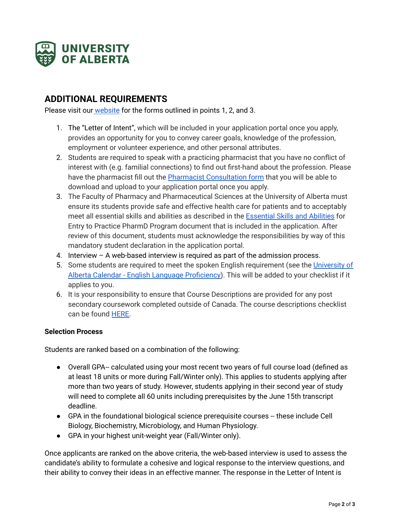

# **ADDITIONAL REQUIREMENTS**

Please visit our [website](https://www.ualberta.ca/pharmacy/programs/pharmd-doctor-of-pharmacy/admission-requirements.html) for the forms outlined in points 1, 2, and 3.

- 1. The "Letter of Intent", which will be included in your application portal once you apply, provides an opportunity for you to convey career goals, knowledge of the profession, employment or volunteer experience, and other personal attributes.
- 2. Students are required to speak with a practicing pharmacist that you have no conflict of interest with (e.g. familial connections) to find out first-hand about the profession. Please have the pharmacist fill out the Pharmacist [Consultation](https://www.ualberta.ca/pharmacy/media-library/programs/documents/pharmd/pharmacist-consultation-form-updated-2019.pdf) form that you will be able to download and upload to your application portal once you apply.
- 3. The Faculty of Pharmacy and Pharmaceutical Sciences at the University of Alberta must ensure its students provide safe and effective health care for patients and to acceptably meet all essential skills and abilities as described in the [Essential](https://pubsecure.lucidpress.com/PHessentialskills/#kDXU0y0swYzB) Skills and Abilities for Entry to Practice PharmD Program document that is included in the application. After review of this document, students must acknowledge the responsibilities by way of this mandatory student declaration in the application portal.
- 4. Interview A web-based interview is required as part of the admission process.
- 5. Some students are required to meet the spoken English requirement (see the [University](https://www.ualberta.ca/admissions/undergraduate/admission/admission-requirements/language-requirements/index.html?) of Alberta Calendar - English Language [Proficiency\)](https://www.ualberta.ca/admissions/undergraduate/admission/admission-requirements/language-requirements/index.html?). This will be added to your checklist if it applies to you.
- 6. It is your responsibility to ensure that Course Descriptions are provided for any post secondary coursework completed outside of Canada. The course descriptions checklist can be found [HERE.](https://docs.google.com/document/d/1lsmF79tFF9PScGIOdS1jHCJGnQGAcaeIhQpHiSFM2sI/edit?usp=sharing)

#### **Selection Process**

Students are ranked based on a combination of the following:

- Overall GPA-- calculated using your most recent two years of full course load (defined as at least 18 units or more during Fall/Winter only). This applies to students applying after more than two years of study. However, students applying in their second year of study will need to complete all 60 units including prerequisites by the June 15th transcript deadline.
- GPA in the foundational biological science prerequisite courses -- these include Cell Biology, Biochemistry, Microbiology, and Human Physiology.
- GPA in your highest unit-weight year (Fall/Winter only).

Once applicants are ranked on the above criteria, the web-based interview is used to assess the candidate's ability to formulate a cohesive and logical response to the interview questions, and their ability to convey their ideas in an effective manner. The response in the Letter of Intent is